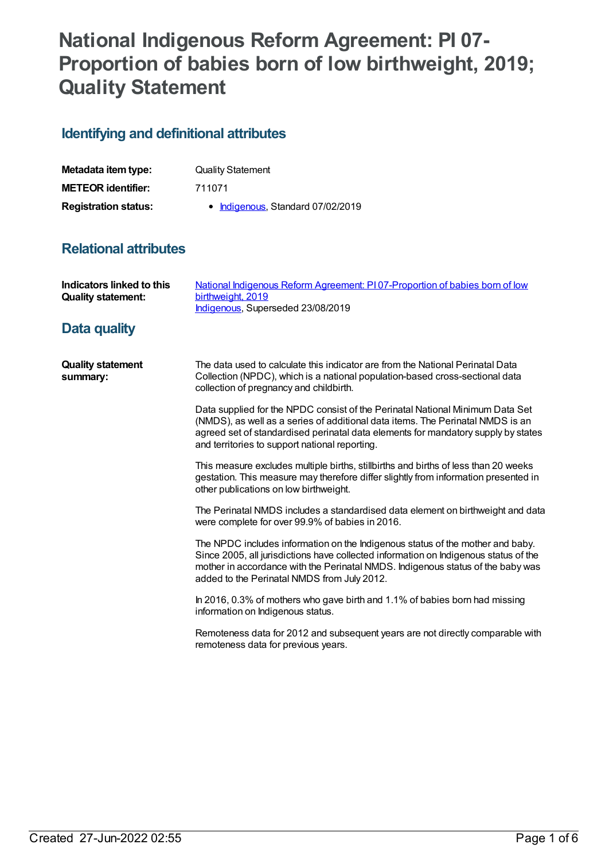# **National Indigenous Reform Agreement: PI 07- Proportion of babies born of low birthweight, 2019; Quality Statement**

## **Identifying and definitional attributes**

| Metadata item type:         | <b>Quality Statement</b>          |
|-----------------------------|-----------------------------------|
| <b>METEOR identifier:</b>   | 711071                            |
| <b>Registration status:</b> | • Indigenous, Standard 07/02/2019 |

## **Relational attributes**

| <b>Indicators linked to this</b><br><b>Quality statement:</b> | National Indigenous Reform Agreement: PI07-Proportion of babies born of low<br>birthweight, 2019<br>Indigenous, Superseded 23/08/2019                                                                                                                                                                    |
|---------------------------------------------------------------|----------------------------------------------------------------------------------------------------------------------------------------------------------------------------------------------------------------------------------------------------------------------------------------------------------|
| Data quality                                                  |                                                                                                                                                                                                                                                                                                          |
| <b>Quality statement</b><br>summary:                          | The data used to calculate this indicator are from the National Perinatal Data<br>Collection (NPDC), which is a national population-based cross-sectional data<br>collection of pregnancy and childbirth.                                                                                                |
|                                                               | Data supplied for the NPDC consist of the Perinatal National Minimum Data Set<br>(NMDS), as well as a series of additional data items. The Perinatal NMDS is an<br>agreed set of standardised perinatal data elements for mandatory supply by states<br>and territories to support national reporting.   |
|                                                               | This measure excludes multiple births, stillbirths and births of less than 20 weeks<br>gestation. This measure may therefore differ slightly from information presented in<br>other publications on low birthweight.                                                                                     |
|                                                               | The Perinatal NMDS includes a standardised data element on birthweight and data<br>were complete for over 99.9% of babies in 2016.                                                                                                                                                                       |
|                                                               | The NPDC includes information on the Indigenous status of the mother and baby.<br>Since 2005, all jurisdictions have collected information on Indigenous status of the<br>mother in accordance with the Perinatal NMDS. Indigenous status of the baby was<br>added to the Perinatal NMDS from July 2012. |
|                                                               | In 2016, 0.3% of mothers who gave birth and 1.1% of babies born had missing<br>information on Indigenous status.                                                                                                                                                                                         |
|                                                               | Remoteness data for 2012 and subsequent years are not directly comparable with<br>remoteness data for previous years.                                                                                                                                                                                    |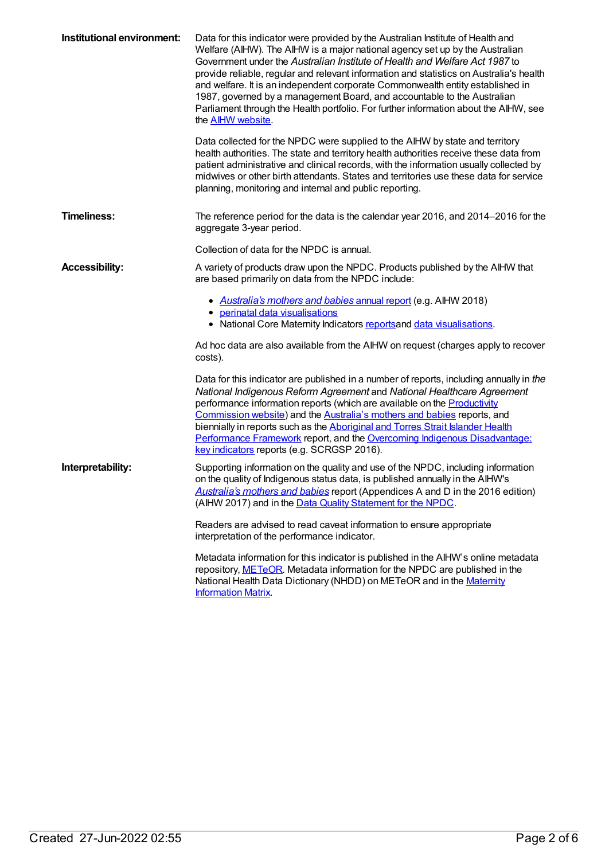| Institutional environment: | Data for this indicator were provided by the Australian Institute of Health and<br>Welfare (AIHW). The AIHW is a major national agency set up by the Australian<br>Government under the Australian Institute of Health and Welfare Act 1987 to<br>provide reliable, regular and relevant information and statistics on Australia's health<br>and welfare. It is an independent corporate Commonwealth entity established in<br>1987, governed by a management Board, and accountable to the Australian<br>Parliament through the Health portfolio. For further information about the AIHW, see<br>the <b>AIHW</b> website.<br>Data collected for the NPDC were supplied to the AIHW by state and territory<br>health authorities. The state and territory health authorities receive these data from<br>patient administrative and clinical records, with the information usually collected by<br>midwives or other birth attendants. States and territories use these data for service<br>planning, monitoring and internal and public reporting. |
|----------------------------|----------------------------------------------------------------------------------------------------------------------------------------------------------------------------------------------------------------------------------------------------------------------------------------------------------------------------------------------------------------------------------------------------------------------------------------------------------------------------------------------------------------------------------------------------------------------------------------------------------------------------------------------------------------------------------------------------------------------------------------------------------------------------------------------------------------------------------------------------------------------------------------------------------------------------------------------------------------------------------------------------------------------------------------------------|
| <b>Timeliness:</b>         | The reference period for the data is the calendar year 2016, and 2014–2016 for the<br>aggregate 3-year period.                                                                                                                                                                                                                                                                                                                                                                                                                                                                                                                                                                                                                                                                                                                                                                                                                                                                                                                                     |
|                            | Collection of data for the NPDC is annual.                                                                                                                                                                                                                                                                                                                                                                                                                                                                                                                                                                                                                                                                                                                                                                                                                                                                                                                                                                                                         |
| <b>Accessibility:</b>      | A variety of products draw upon the NPDC. Products published by the AIHW that<br>are based primarily on data from the NPDC include:                                                                                                                                                                                                                                                                                                                                                                                                                                                                                                                                                                                                                                                                                                                                                                                                                                                                                                                |
|                            | • Australia's mothers and babies annual report (e.g. AlHW 2018)<br>• perinatal data visualisations<br>• National Core Maternity Indicators reports and data visualisations.                                                                                                                                                                                                                                                                                                                                                                                                                                                                                                                                                                                                                                                                                                                                                                                                                                                                        |
|                            | Ad hoc data are also available from the AIHW on request (charges apply to recover<br>costs).                                                                                                                                                                                                                                                                                                                                                                                                                                                                                                                                                                                                                                                                                                                                                                                                                                                                                                                                                       |
|                            | Data for this indicator are published in a number of reports, including annually in the<br>National Indigenous Reform Agreement and National Healthcare Agreement<br>performance information reports (which are available on the Productivity<br>Commission website) and the Australia's mothers and babies reports, and<br>biennially in reports such as the Aboriginal and Torres Strait Islander Health<br>Performance Framework report, and the Overcoming Indigenous Disadvantage:<br>key indicators reports (e.g. SCRGSP 2016).                                                                                                                                                                                                                                                                                                                                                                                                                                                                                                              |
| Interpretability:          | Supporting information on the quality and use of the NPDC, including information<br>on the quality of Indigenous status data, is published annually in the AIHW's<br>Australia's mothers and babies report (Appendices A and D in the 2016 edition)<br>(AIHW 2017) and in the Data Quality Statement for the NPDC.                                                                                                                                                                                                                                                                                                                                                                                                                                                                                                                                                                                                                                                                                                                                 |
|                            | Readers are advised to read caveat information to ensure appropriate<br>interpretation of the performance indicator.                                                                                                                                                                                                                                                                                                                                                                                                                                                                                                                                                                                                                                                                                                                                                                                                                                                                                                                               |
|                            | Metadata information for this indicator is published in the AIHW's online metadata<br>repository, METeOR. Metadata information for the NPDC are published in the<br>National Health Data Dictionary (NHDD) on METeOR and in the Maternity<br><b>Information Matrix</b>                                                                                                                                                                                                                                                                                                                                                                                                                                                                                                                                                                                                                                                                                                                                                                             |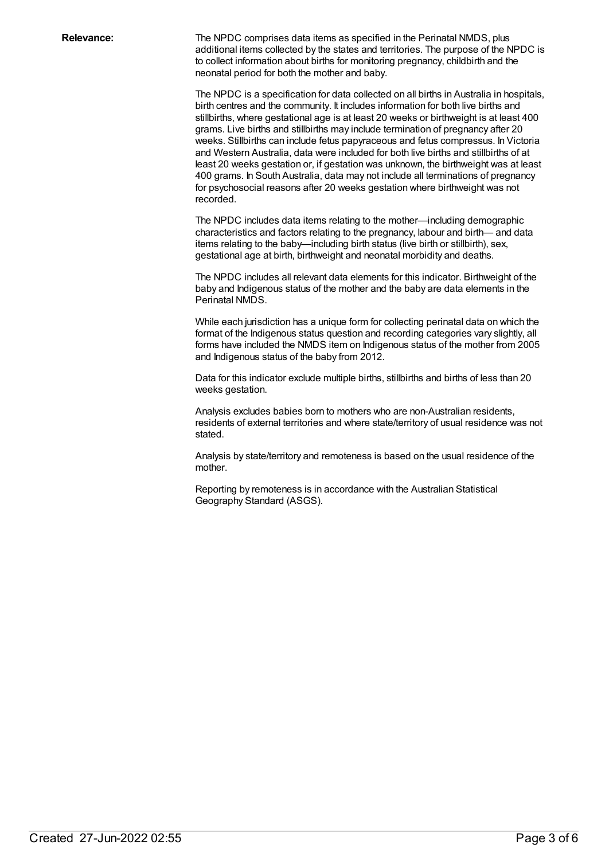**Relevance:** The NPDC comprises data items as specified in the Perinatal NMDS, plus additional items collected by the states and territories. The purpose of the NPDC is to collect information about births for monitoring pregnancy, childbirth and the neonatal period for both the mother and baby.

> The NPDC is a specification for data collected on all births in Australia in hospitals, birth centres and the community. It includes information for both live births and stillbirths, where gestational age is at least 20 weeks or birthweight is at least 400 grams. Live births and stillbirths may include termination of pregnancy after 20 weeks. Stillbirths can include fetus papyraceous and fetus compressus. In Victoria and Western Australia, data were included for both live births and stillbirths of at least 20 weeks gestation or, if gestation was unknown, the birthweight was at least 400 grams. In South Australia, data may not include all terminations of pregnancy for psychosocial reasons after 20 weeks gestation where birthweight was not recorded.

The NPDC includes data items relating to the mother—including demographic characteristics and factors relating to the pregnancy, labour and birth— and data items relating to the baby—including birth status (live birth or stillbirth), sex, gestational age at birth, birthweight and neonatal morbidity and deaths.

The NPDC includes all relevant data elements for this indicator. Birthweight of the baby and Indigenous status of the mother and the baby are data elements in the Perinatal NMDS.

While each jurisdiction has a unique form for collecting perinatal data on which the format of the Indigenous status question and recording categories vary slightly, all forms have included the NMDS item on Indigenous status of the mother from 2005 and Indigenous status of the baby from 2012.

Data for this indicator exclude multiple births, stillbirths and births of less than 20 weeks gestation.

Analysis excludes babies born to mothers who are non-Australian residents, residents of external territories and where state/territory of usual residence was not stated.

Analysis by state/territory and remoteness is based on the usual residence of the mother.

Reporting by remoteness is in accordance with the Australian Statistical Geography Standard (ASGS).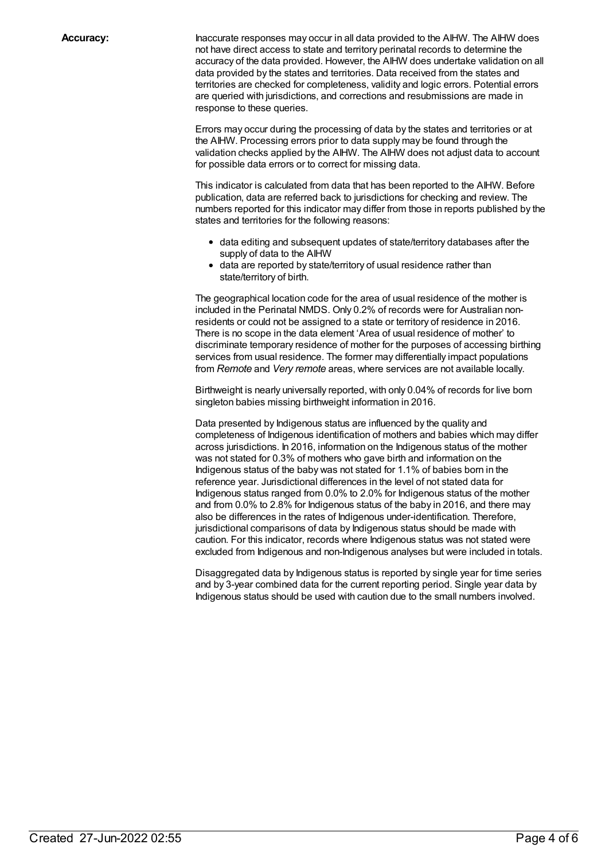**Accuracy:** Inaccurate responses may occur in all data provided to the AIHW. The AIHW does not have direct access to state and territory perinatal records to determine the accuracy of the data provided. However, the AIHW does undertake validation on all data provided by the states and territories. Data received from the states and territories are checked for completeness, validity and logic errors. Potential errors are queried with jurisdictions, and corrections and resubmissions are made in response to these queries.

> Errors may occur during the processing of data by the states and territories or at the AIHW. Processing errors prior to data supply may be found through the validation checks applied by the AIHW. The AIHW does not adjust data to account for possible data errors or to correct for missing data.

This indicator is calculated from data that has been reported to the AIHW. Before publication, data are referred back to jurisdictions for checking and review. The numbers reported for this indicator may differ from those in reports published by the states and territories for the following reasons:

- data editing and subsequent updates of state/territory databases after the supply of data to the AIHW
- data are reported by state/territory of usual residence rather than state/territory of birth.

The geographical location code for the area of usual residence of the mother is included in the Perinatal NMDS. Only 0.2% of records were for Australian nonresidents or could not be assigned to a state or territory of residence in 2016. There is no scope in the data element 'Area of usual residence of mother' to discriminate temporary residence of mother for the purposes of accessing birthing services from usual residence. The former may differentially impact populations from *Remote* and *Very remote* areas, where services are not available locally.

Birthweight is nearly universally reported, with only 0.04% of records for live born singleton babies missing birthweight information in 2016.

Data presented by Indigenous status are influenced by the quality and completeness of Indigenous identification of mothers and babies which may differ across jurisdictions. In 2016, information on the Indigenous status of the mother was not stated for 0.3% of mothers who gave birth and information on the Indigenous status of the baby was not stated for 1.1% of babies born in the reference year. Jurisdictional differences in the level of not stated data for Indigenous status ranged from 0.0% to 2.0% for Indigenous status of the mother and from 0.0% to 2.8% for Indigenous status of the baby in 2016, and there may also be differences in the rates of Indigenous under-identification. Therefore, jurisdictional comparisons of data by Indigenous status should be made with caution. For this indicator, records where Indigenous status was not stated were excluded from Indigenous and non-Indigenous analyses but were included in totals.

Disaggregated data by Indigenous status is reported by single year for time series and by 3-year combined data for the current reporting period. Single year data by Indigenous status should be used with caution due to the small numbers involved.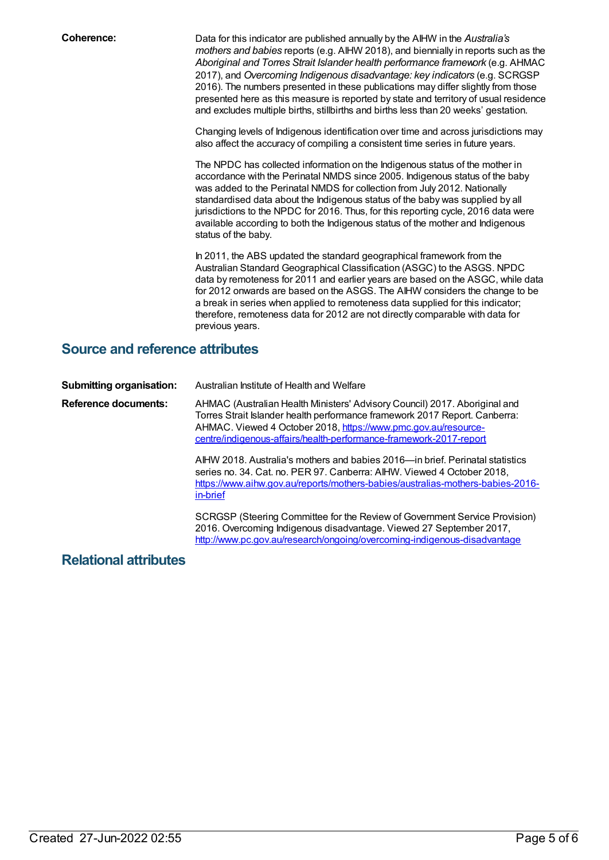**Coherence:** Data for this indicator are published annually by the AIHW in the *Australia's mothers and babies* reports (e.g. AIHW 2018), and biennially in reports such as the *Aboriginal and Torres Strait Islander health performance framework* (e.g. AHMAC 2017), and *Overcoming Indigenous disadvantage: key indicators* (e.g. SCRGSP 2016). The numbers presented in these publications may differ slightly from those presented here as this measure is reported by state and territory of usual residence and excludes multiple births, stillbirths and births less than 20 weeks' gestation.

> Changing levels of Indigenous identification over time and across jurisdictions may also affect the accuracy of compiling a consistent time series in future years.

The NPDC has collected information on the Indigenous status of the mother in accordance with the Perinatal NMDS since 2005. Indigenous status of the baby was added to the Perinatal NMDS for collection from July 2012. Nationally standardised data about the Indigenous status of the baby was supplied by all jurisdictions to the NPDC for 2016. Thus, for this reporting cycle, 2016 data were available according to both the Indigenous status of the mother and Indigenous status of the baby.

In 2011, the ABS updated the standard geographical framework from the Australian Standard Geographical Classification (ASGC) to the ASGS. NPDC data by remoteness for 2011 and earlier years are based on the ASGC, while data for 2012 onwards are based on the ASGS. The AIHW considers the change to be a break in series when applied to remoteness data supplied for this indicator; therefore, remoteness data for 2012 are not directly comparable with data for previous years.

### **Source and reference attributes**

| <b>Submitting organisation:</b> | Australian Institute of Health and Welfare                                                                                                                                                                                                                                                                                                                                                                                                                                                                                                                       |
|---------------------------------|------------------------------------------------------------------------------------------------------------------------------------------------------------------------------------------------------------------------------------------------------------------------------------------------------------------------------------------------------------------------------------------------------------------------------------------------------------------------------------------------------------------------------------------------------------------|
| <b>Reference documents:</b>     | AHMAC (Australian Health Ministers' Advisory Council) 2017. Aboriginal and<br>Torres Strait Islander health performance framework 2017 Report. Canberra:<br>AHMAC. Viewed 4 October 2018, https://www.pmc.gov.au/resource-<br><u>centre/indigenous-affairs/health-performance-framework-2017-report</u><br>AIHW 2018. Australia's mothers and babies 2016—in brief. Perinatal statistics<br>series no. 34. Cat. no. PER 97. Canberra: AIHW. Viewed 4 October 2018,<br>https://www.aihw.gov.au/reports/mothers-babies/australias-mothers-babies-2016-<br>in-brief |
|                                 | SCRGSP (Steering Committee for the Review of Government Service Provision)<br>2016. Overcoming Indigenous disadvantage. Viewed 27 September 2017,<br>http://www.pc.gov.au/research/ongoing/overcoming-indigenous-disadvantage                                                                                                                                                                                                                                                                                                                                    |

#### **Relational attributes**